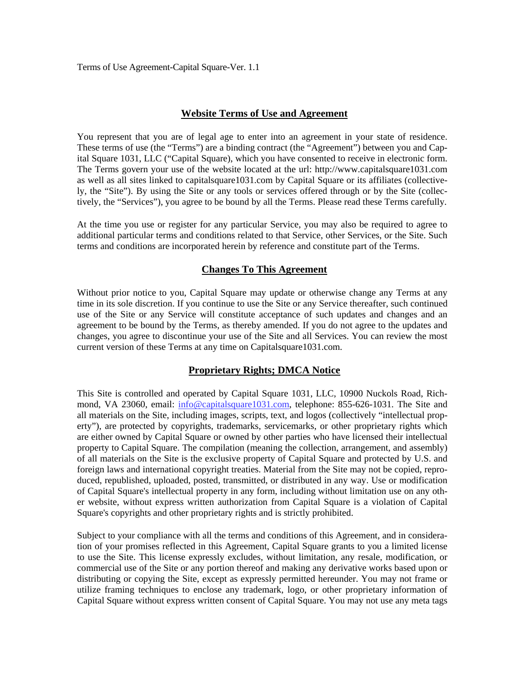Terms of Use Agreement-Capital Square-Ver. 1.1

#### **Website Terms of Use and Agreement**

You represent that you are of legal age to enter into an agreement in your state of residence. These terms of use (the "Terms") are a binding contract (the "Agreement") between you and Capital Square 1031, LLC ("Capital Square), which you have consented to receive in electronic form. The Terms govern your use of the website located at the url: http://www.capitalsquare1031.com as well as all sites linked to capitalsquare1031.com by Capital Square or its affiliates (collectively, the "Site"). By using the Site or any tools or services offered through or by the Site (collectively, the "Services"), you agree to be bound by all the Terms. Please read these Terms carefully.

At the time you use or register for any particular Service, you may also be required to agree to additional particular terms and conditions related to that Service, other Services, or the Site. Such terms and conditions are incorporated herein by reference and constitute part of the Terms.

#### **Changes To This Agreement**

Without prior notice to you, Capital Square may update or otherwise change any Terms at any time in its sole discretion. If you continue to use the Site or any Service thereafter, such continued use of the Site or any Service will constitute acceptance of such updates and changes and an agreement to be bound by the Terms, as thereby amended. If you do not agree to the updates and changes, you agree to discontinue your use of the Site and all Services. You can review the most current version of these Terms at any time on Capitalsquare1031.com.

### **Proprietary Rights; DMCA Notice**

This Site is controlled and operated by Capital Square 1031, LLC, 10900 Nuckols Road, Richmond, VA 23060, email: info@capitalsquare1031.com, telephone: 855-626-1031. The Site and all materials on the Site, including images, scripts, text, and logos (collectively "intellectual property"), are protected by copyrights, trademarks, servicemarks, or other proprietary rights which are either owned by Capital Square or owned by other parties who have licensed their intellectual property to Capital Square. The compilation (meaning the collection, arrangement, and assembly) of all materials on the Site is the exclusive property of Capital Square and protected by U.S. and foreign laws and international copyright treaties. Material from the Site may not be copied, reproduced, republished, uploaded, posted, transmitted, or distributed in any way. Use or modification of Capital Square's intellectual property in any form, including without limitation use on any other website, without express written authorization from Capital Square is a violation of Capital Square's copyrights and other proprietary rights and is strictly prohibited.

Subject to your compliance with all the terms and conditions of this Agreement, and in consideration of your promises reflected in this Agreement, Capital Square grants to you a limited license to use the Site. This license expressly excludes, without limitation, any resale, modification, or commercial use of the Site or any portion thereof and making any derivative works based upon or distributing or copying the Site, except as expressly permitted hereunder. You may not frame or utilize framing techniques to enclose any trademark, logo, or other proprietary information of Capital Square without express written consent of Capital Square. You may not use any meta tags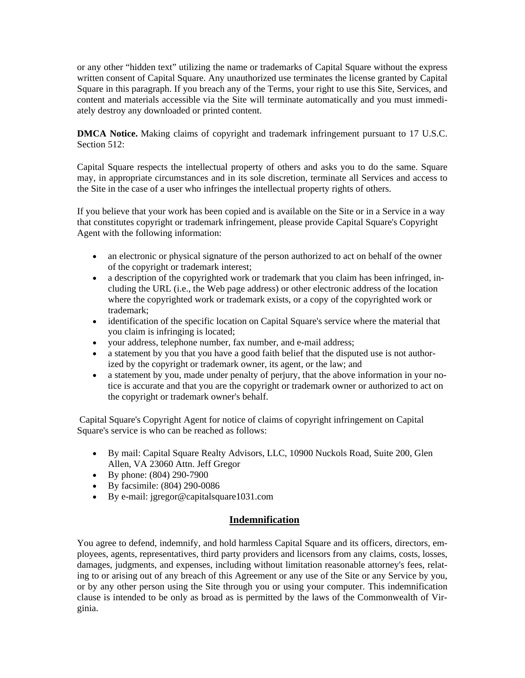or any other "hidden text" utilizing the name or trademarks of Capital Square without the express written consent of Capital Square. Any unauthorized use terminates the license granted by Capital Square in this paragraph. If you breach any of the Terms, your right to use this Site, Services, and content and materials accessible via the Site will terminate automatically and you must immediately destroy any downloaded or printed content.

**DMCA Notice.** Making claims of copyright and trademark infringement pursuant to 17 U.S.C. Section 512:

Capital Square respects the intellectual property of others and asks you to do the same. Square may, in appropriate circumstances and in its sole discretion, terminate all Services and access to the Site in the case of a user who infringes the intellectual property rights of others.

If you believe that your work has been copied and is available on the Site or in a Service in a way that constitutes copyright or trademark infringement, please provide Capital Square's Copyright Agent with the following information:

- an electronic or physical signature of the person authorized to act on behalf of the owner of the copyright or trademark interest;
- a description of the copyrighted work or trademark that you claim has been infringed, including the URL (i.e., the Web page address) or other electronic address of the location where the copyrighted work or trademark exists, or a copy of the copyrighted work or trademark;
- identification of the specific location on Capital Square's service where the material that you claim is infringing is located;
- your address, telephone number, fax number, and e-mail address;
- a statement by you that you have a good faith belief that the disputed use is not authorized by the copyright or trademark owner, its agent, or the law; and
- a statement by you, made under penalty of perjury, that the above information in your notice is accurate and that you are the copyright or trademark owner or authorized to act on the copyright or trademark owner's behalf.

 Capital Square's Copyright Agent for notice of claims of copyright infringement on Capital Square's service is who can be reached as follows:

- By mail: Capital Square Realty Advisors, LLC, 10900 Nuckols Road, Suite 200, Glen Allen, VA 23060 Attn. Jeff Gregor
- $\bullet$  By phone: (804) 290-7900
- By facsimile: (804) 290-0086
- By e-mail: jgregor@capitalsquare1031.com

# **Indemnification**

You agree to defend, indemnify, and hold harmless Capital Square and its officers, directors, employees, agents, representatives, third party providers and licensors from any claims, costs, losses, damages, judgments, and expenses, including without limitation reasonable attorney's fees, relating to or arising out of any breach of this Agreement or any use of the Site or any Service by you, or by any other person using the Site through you or using your computer. This indemnification clause is intended to be only as broad as is permitted by the laws of the Commonwealth of Virginia.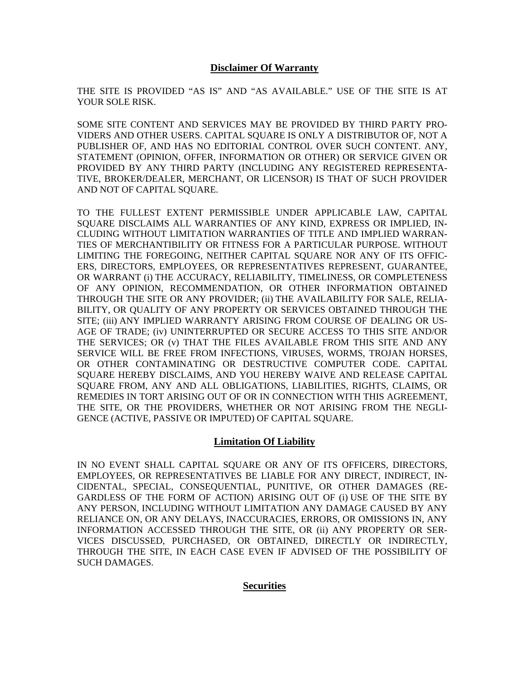## **Disclaimer Of Warranty**

THE SITE IS PROVIDED "AS IS" AND "AS AVAILABLE." USE OF THE SITE IS AT YOUR SOLE RISK.

SOME SITE CONTENT AND SERVICES MAY BE PROVIDED BY THIRD PARTY PRO-VIDERS AND OTHER USERS. CAPITAL SQUARE IS ONLY A DISTRIBUTOR OF, NOT A PUBLISHER OF, AND HAS NO EDITORIAL CONTROL OVER SUCH CONTENT. ANY, STATEMENT (OPINION, OFFER, INFORMATION OR OTHER) OR SERVICE GIVEN OR PROVIDED BY ANY THIRD PARTY (INCLUDING ANY REGISTERED REPRESENTA-TIVE, BROKER/DEALER, MERCHANT, OR LICENSOR) IS THAT OF SUCH PROVIDER AND NOT OF CAPITAL SOUARE.

TO THE FULLEST EXTENT PERMISSIBLE UNDER APPLICABLE LAW, CAPITAL SQUARE DISCLAIMS ALL WARRANTIES OF ANY KIND, EXPRESS OR IMPLIED, IN-CLUDING WITHOUT LIMITATION WARRANTIES OF TITLE AND IMPLIED WARRAN-TIES OF MERCHANTIBILITY OR FITNESS FOR A PARTICULAR PURPOSE. WITHOUT LIMITING THE FOREGOING, NEITHER CAPITAL SQUARE NOR ANY OF ITS OFFIC-ERS, DIRECTORS, EMPLOYEES, OR REPRESENTATIVES REPRESENT, GUARANTEE, OR WARRANT (i) THE ACCURACY, RELIABILITY, TIMELINESS, OR COMPLETENESS OF ANY OPINION, RECOMMENDATION, OR OTHER INFORMATION OBTAINED THROUGH THE SITE OR ANY PROVIDER; (ii) THE AVAILABILITY FOR SALE, RELIA-BILITY, OR QUALITY OF ANY PROPERTY OR SERVICES OBTAINED THROUGH THE SITE; (iii) ANY IMPLIED WARRANTY ARISING FROM COURSE OF DEALING OR US-AGE OF TRADE; (iv) UNINTERRUPTED OR SECURE ACCESS TO THIS SITE AND/OR THE SERVICES; OR (v) THAT THE FILES AVAILABLE FROM THIS SITE AND ANY SERVICE WILL BE FREE FROM INFECTIONS, VIRUSES, WORMS, TROJAN HORSES, OR OTHER CONTAMINATING OR DESTRUCTIVE COMPUTER CODE. CAPITAL SQUARE HEREBY DISCLAIMS, AND YOU HEREBY WAIVE AND RELEASE CAPITAL SQUARE FROM, ANY AND ALL OBLIGATIONS, LIABILITIES, RIGHTS, CLAIMS, OR REMEDIES IN TORT ARISING OUT OF OR IN CONNECTION WITH THIS AGREEMENT, THE SITE, OR THE PROVIDERS, WHETHER OR NOT ARISING FROM THE NEGLI-GENCE (ACTIVE, PASSIVE OR IMPUTED) OF CAPITAL SQUARE.

# **Limitation Of Liability**

IN NO EVENT SHALL CAPITAL SQUARE OR ANY OF ITS OFFICERS, DIRECTORS, EMPLOYEES, OR REPRESENTATIVES BE LIABLE FOR ANY DIRECT, INDIRECT, IN-CIDENTAL, SPECIAL, CONSEQUENTIAL, PUNITIVE, OR OTHER DAMAGES (RE-GARDLESS OF THE FORM OF ACTION) ARISING OUT OF (i) USE OF THE SITE BY ANY PERSON, INCLUDING WITHOUT LIMITATION ANY DAMAGE CAUSED BY ANY RELIANCE ON, OR ANY DELAYS, INACCURACIES, ERRORS, OR OMISSIONS IN, ANY INFORMATION ACCESSED THROUGH THE SITE, OR (ii) ANY PROPERTY OR SER-VICES DISCUSSED, PURCHASED, OR OBTAINED, DIRECTLY OR INDIRECTLY, THROUGH THE SITE, IN EACH CASE EVEN IF ADVISED OF THE POSSIBILITY OF SUCH DAMAGES.

# **Securities**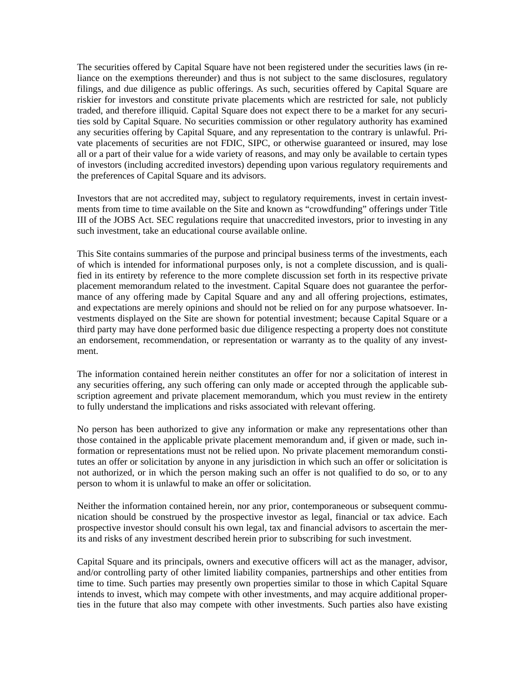The securities offered by Capital Square have not been registered under the securities laws (in reliance on the exemptions thereunder) and thus is not subject to the same disclosures, regulatory filings, and due diligence as public offerings. As such, securities offered by Capital Square are riskier for investors and constitute private placements which are restricted for sale, not publicly traded, and therefore illiquid. Capital Square does not expect there to be a market for any securities sold by Capital Square. No securities commission or other regulatory authority has examined any securities offering by Capital Square, and any representation to the contrary is unlawful. Private placements of securities are not FDIC, SIPC, or otherwise guaranteed or insured, may lose all or a part of their value for a wide variety of reasons, and may only be available to certain types of investors (including accredited investors) depending upon various regulatory requirements and the preferences of Capital Square and its advisors.

Investors that are not accredited may, subject to regulatory requirements, invest in certain investments from time to time available on the Site and known as "crowdfunding" offerings under Title III of the JOBS Act. SEC regulations require that unaccredited investors, prior to investing in any such investment, take an educational course available online.

This Site contains summaries of the purpose and principal business terms of the investments, each of which is intended for informational purposes only, is not a complete discussion, and is qualified in its entirety by reference to the more complete discussion set forth in its respective private placement memorandum related to the investment. Capital Square does not guarantee the performance of any offering made by Capital Square and any and all offering projections, estimates, and expectations are merely opinions and should not be relied on for any purpose whatsoever. Investments displayed on the Site are shown for potential investment; because Capital Square or a third party may have done performed basic due diligence respecting a property does not constitute an endorsement, recommendation, or representation or warranty as to the quality of any investment.

The information contained herein neither constitutes an offer for nor a solicitation of interest in any securities offering, any such offering can only made or accepted through the applicable subscription agreement and private placement memorandum, which you must review in the entirety to fully understand the implications and risks associated with relevant offering.

No person has been authorized to give any information or make any representations other than those contained in the applicable private placement memorandum and, if given or made, such information or representations must not be relied upon. No private placement memorandum constitutes an offer or solicitation by anyone in any jurisdiction in which such an offer or solicitation is not authorized, or in which the person making such an offer is not qualified to do so, or to any person to whom it is unlawful to make an offer or solicitation.

Neither the information contained herein, nor any prior, contemporaneous or subsequent communication should be construed by the prospective investor as legal, financial or tax advice. Each prospective investor should consult his own legal, tax and financial advisors to ascertain the merits and risks of any investment described herein prior to subscribing for such investment.

Capital Square and its principals, owners and executive officers will act as the manager, advisor, and/or controlling party of other limited liability companies, partnerships and other entities from time to time. Such parties may presently own properties similar to those in which Capital Square intends to invest, which may compete with other investments, and may acquire additional properties in the future that also may compete with other investments. Such parties also have existing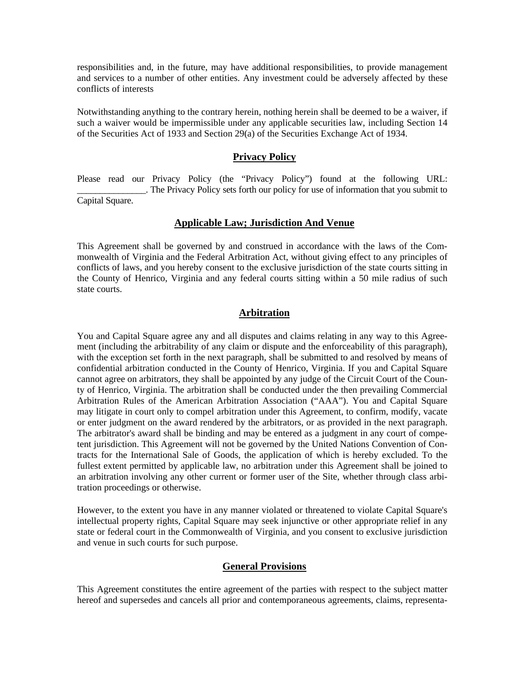responsibilities and, in the future, may have additional responsibilities, to provide management and services to a number of other entities. Any investment could be adversely affected by these conflicts of interests

Notwithstanding anything to the contrary herein, nothing herein shall be deemed to be a waiver, if such a waiver would be impermissible under any applicable securities law, including Section 14 of the Securities Act of 1933 and Section 29(a) of the Securities Exchange Act of 1934.

## **Privacy Policy**

Please read our Privacy Policy (the "Privacy Policy") found at the following URL: \_\_\_\_\_\_\_\_\_\_\_\_\_\_\_. The Privacy Policy sets forth our policy for use of information that you submit to Capital Square.

## **Applicable Law; Jurisdiction And Venue**

This Agreement shall be governed by and construed in accordance with the laws of the Commonwealth of Virginia and the Federal Arbitration Act, without giving effect to any principles of conflicts of laws, and you hereby consent to the exclusive jurisdiction of the state courts sitting in the County of Henrico, Virginia and any federal courts sitting within a 50 mile radius of such state courts.

## **Arbitration**

You and Capital Square agree any and all disputes and claims relating in any way to this Agreement (including the arbitrability of any claim or dispute and the enforceability of this paragraph), with the exception set forth in the next paragraph, shall be submitted to and resolved by means of confidential arbitration conducted in the County of Henrico, Virginia. If you and Capital Square cannot agree on arbitrators, they shall be appointed by any judge of the Circuit Court of the County of Henrico, Virginia. The arbitration shall be conducted under the then prevailing Commercial Arbitration Rules of the American Arbitration Association ("AAA"). You and Capital Square may litigate in court only to compel arbitration under this Agreement, to confirm, modify, vacate or enter judgment on the award rendered by the arbitrators, or as provided in the next paragraph. The arbitrator's award shall be binding and may be entered as a judgment in any court of competent jurisdiction. This Agreement will not be governed by the United Nations Convention of Contracts for the International Sale of Goods, the application of which is hereby excluded. To the fullest extent permitted by applicable law, no arbitration under this Agreement shall be joined to an arbitration involving any other current or former user of the Site, whether through class arbitration proceedings or otherwise.

However, to the extent you have in any manner violated or threatened to violate Capital Square's intellectual property rights, Capital Square may seek injunctive or other appropriate relief in any state or federal court in the Commonwealth of Virginia, and you consent to exclusive jurisdiction and venue in such courts for such purpose.

#### **General Provisions**

This Agreement constitutes the entire agreement of the parties with respect to the subject matter hereof and supersedes and cancels all prior and contemporaneous agreements, claims, representa-